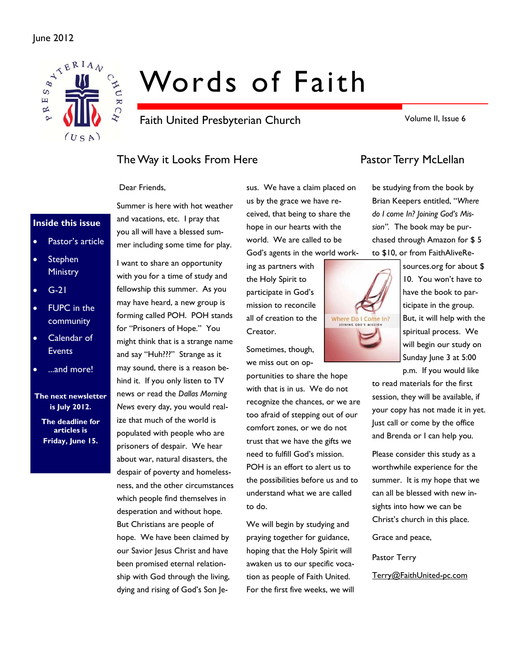

# Words of Faith

Faith United Presbyterian Church

Volume II, Issue 6

# The Way it Looks From Here **Pastor Terry McLellan**

Dear Friends,

### **Inside this issue**

- Pastor's article
- **Stephen Ministry**
- G-21
- FUPC in the community
- Calendar of **Events**
- ...and more!

**The next newsletter is July 2012.** 

**The deadline for articles is Friday, June 15.** 

Summer is here with hot weather and vacations, etc. I pray that you all will have a blessed summer including some time for play.

I want to share an opportunity with you for a time of study and fellowship this summer. As you may have heard, a new group is forming called POH. POH stands for "Prisoners of Hope." You might think that is a strange name and say "Huh???" Strange as it may sound, there is a reason behind it. If you only listen to TV news or read the *Dallas Morning News* every day, you would realize that much of the world is populated with people who are prisoners of despair. We hear about war, natural disasters, the despair of poverty and homelessness, and the other circumstances which people find themselves in desperation and without hope. But Christians are people of hope. We have been claimed by our Savior Jesus Christ and have been promised eternal relationship with God through the living, dying and rising of God's Son Jesus. We have a claim placed on us by the grace we have received, that being to share the hope in our hearts with the world. We are called to be God's agents in the world work-

ing as partners with the Holy Spirit to participate in God's mission to reconcile all of creation to the Creator.

Sometimes, though, we miss out on op-

portunities to share the hope with that is in us. We do not recognize the chances, or we are too afraid of stepping out of our comfort zones, or we do not trust that we have the gifts we need to fulfill God's mission. POH is an effort to alert us to the possibilities before us and to understand what we are called to do.

We will begin by studying and praying together for guidance, hoping that the Holy Spirit will awaken us to our specific vocation as people of Faith United. For the first five weeks, we will

be studying from the book by Brian Keepers entitled, "*Where do I come In? Joining God's Mission".* The book may be purchased through Amazon for \$ 5 to \$10, or from FaithAliveRe-



sources.org for about \$ 10. You won't have to have the book to participate in the group. But, it will help with the spiritual process. We will begin our study on Sunday June 3 at 5:00

p.m. If you would like to read materials for the first session, they will be available, if your copy has not made it in yet. Just call or come by the office and Brenda or I can help you.

Please consider this study as a worthwhile experience for the summer. It is my hope that we can all be blessed with new insights into how we can be Christ's church in this place.

Grace and peace,

Pastor Terry

Terry@FaithUnited-pc.com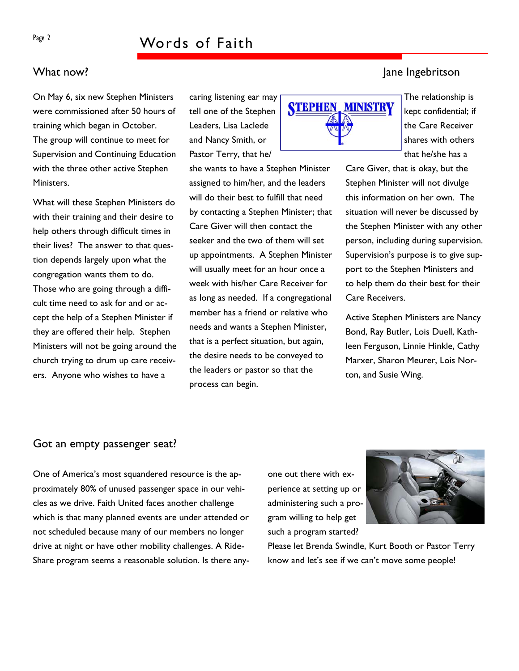### What now? Jane Ingebritson

On May 6, six new Stephen Ministers were commissioned after 50 hours of training which began in October. The group will continue to meet for Supervision and Continuing Education with the three other active Stephen Ministers.

What will these Stephen Ministers do with their training and their desire to help others through difficult times in their lives? The answer to that question depends largely upon what the congregation wants them to do. Those who are going through a difficult time need to ask for and or accept the help of a Stephen Minister if they are offered their help. Stephen Ministers will not be going around the church trying to drum up care receivers. Anyone who wishes to have a

caring listening ear may tell one of the Stephen Leaders, Lisa Laclede and Nancy Smith, or Pastor Terry, that he/

she wants to have a Stephen Minister assigned to him/her, and the leaders will do their best to fulfill that need by contacting a Stephen Minister; that Care Giver will then contact the seeker and the two of them will set up appointments. A Stephen Minister will usually meet for an hour once a week with his/her Care Receiver for as long as needed. If a congregational member has a friend or relative who needs and wants a Stephen Minister, that is a perfect situation, but again, the desire needs to be conveyed to the leaders or pastor so that the process can begin.



The relationship is kept confidential; if the Care Receiver shares with others that he/she has a

Care Giver, that is okay, but the Stephen Minister will not divulge this information on her own. The situation will never be discussed by the Stephen Minister with any other person, including during supervision. Supervision's purpose is to give support to the Stephen Ministers and to help them do their best for their Care Receivers.

Active Stephen Ministers are Nancy Bond, Ray Butler, Lois Duell, Kathleen Ferguson, Linnie Hinkle, Cathy Marxer, Sharon Meurer, Lois Norton, and Susie Wing.

### Got an empty passenger seat?

One of America's most squandered resource is the approximately 80% of unused passenger space in our vehicles as we drive. Faith United faces another challenge which is that many planned events are under attended or not scheduled because many of our members no longer drive at night or have other mobility challenges. A Ride-Share program seems a reasonable solution. Is there anyone out there with experience at setting up or administering such a program willing to help get such a program started?



Please let Brenda Swindle, Kurt Booth or Pastor Terry know and let's see if we can't move some people!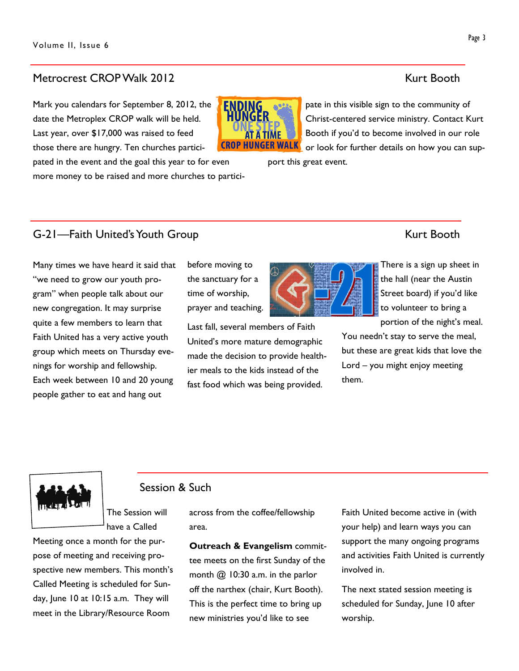### Metrocrest CROP Walk 2012 Metrocrest CROP Walk 2012

Mark you calendars for September 8, 2012, the date the Metroplex CROP walk will be held. Last year, over \$17,000 was raised to feed those there are hungry. Ten churches partici-

pated in the event and the goal this year to for even more money to be raised and more churches to partici-

pate in this visible sign to the community of Christ-centered service ministry. Contact Kurt Booth if you'd to become involved in our role **DP HUNGER WALK** or look for further details on how you can sup-

port this great event.

AT A TIME

# G-21—Faith United's Youth Group Kurt Booth

Many times we have heard it said that "we need to grow our youth program" when people talk about our new congregation. It may surprise quite a few members to learn that Faith United has a very active youth group which meets on Thursday evenings for worship and fellowship. Each week between 10 and 20 young people gather to eat and hang out

before moving to the sanctuary for a time of worship, prayer and teaching.

Last fall, several members of Faith United's more mature demographic made the decision to provide healthier meals to the kids instead of the fast food which was being provided.

There is a sign up sheet in the hall (near the Austin Street board) if you'd like to volunteer to bring a portion of the night's meal.

You needn't stay to serve the meal, but these are great kids that love the Lord – you might enjoy meeting them.

# Session & Such

The Session will have a Called

Meeting once a month for the purpose of meeting and receiving prospective new members. This month's Called Meeting is scheduled for Sunday, June 10 at 10:15 a.m. They will meet in the Library/Resource Room

across from the coffee/fellowship area.

**Outreach & Evangelism** committee meets on the first Sunday of the month  $@$  10:30 a.m. in the parlor off the narthex (chair, Kurt Booth). This is the perfect time to bring up new ministries you'd like to see

Faith United become active in (with your help) and learn ways you can support the many ongoing programs and activities Faith United is currently involved in.

The next stated session meeting is scheduled for Sunday, June 10 after worship.



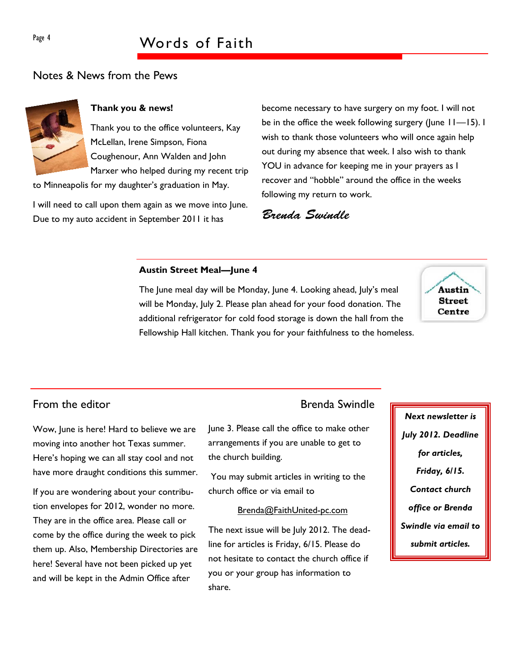# Page 4 Words of Faith

# Notes & News from the Pews



### **Thank you & news!**

Thank you to the office volunteers, Kay McLellan, Irene Simpson, Fiona Coughenour, Ann Walden and John Marxer who helped during my recent trip

to Minneapolis for my daughter's graduation in May.

I will need to call upon them again as we move into June. Due to my auto accident in September 2011 it has

become necessary to have surgery on my foot. I will not be in the office the week following surgery (June 11—15). I wish to thank those volunteers who will once again help out during my absence that week. I also wish to thank YOU in advance for keeping me in your prayers as I recover and "hobble" around the office in the weeks following my return to work.

Brenda Swindle

#### **Austin Street Meal—June 4**

The June meal day will be Monday, June 4. Looking ahead, July's meal will be Monday, July 2. Please plan ahead for your food donation. The additional refrigerator for cold food storage is down the hall from the Fellowship Hall kitchen. Thank you for your faithfulness to the homeless.



Wow, June is here! Hard to believe we are moving into another hot Texas summer. Here's hoping we can all stay cool and not have more draught conditions this summer.

If you are wondering about your contribution envelopes for 2012, wonder no more. They are in the office area. Please call or come by the office during the week to pick them up. Also, Membership Directories are here! Several have not been picked up yet and will be kept in the Admin Office after

## From the editor **Brenda** Swindle

June 3. Please call the office to make other arrangements if you are unable to get to the church building.

 You may submit articles in writing to the church office or via email to

#### Brenda@FaithUnited-pc.com

The next issue will be July 2012. The deadline for articles is Friday, 6/15. Please do not hesitate to contact the church office if you or your group has information to share.

*Next newsletter is July 2012. Deadline for articles, Friday, 6/15. Contact church office or Brenda Swindle via email to submit articles.*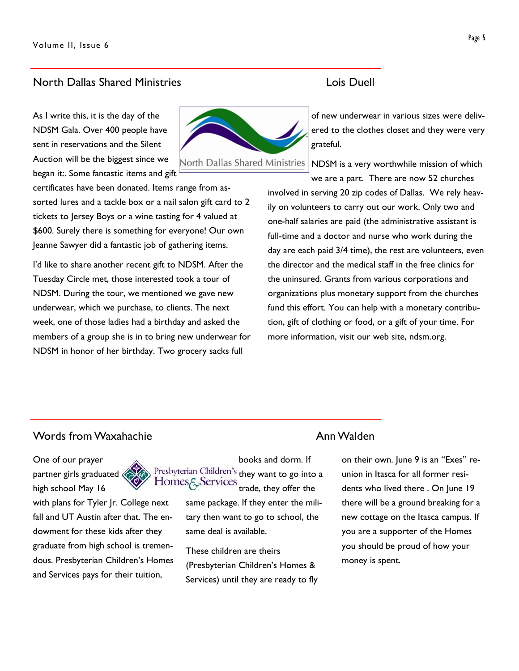### North Dallas Shared Ministries Lois Duell

As I write this, it is the day of the NDSM Gala. Over 400 people have sent in reservations and the Silent Auction will be the biggest since we began it:. Some fantastic items and gift



North Dallas Shared Ministries

certificates have been donated. Items range from assorted lures and a tackle box or a nail salon gift card to 2 tickets to Jersey Boys or a wine tasting for 4 valued at \$600. Surely there is something for everyone! Our own Jeanne Sawyer did a fantastic job of gathering items.

I'd like to share another recent gift to NDSM. After the Tuesday Circle met, those interested took a tour of NDSM. During the tour, we mentioned we gave new underwear, which we purchase, to clients. The next week, one of those ladies had a birthday and asked the members of a group she is in to bring new underwear for NDSM in honor of her birthday. Two grocery sacks full

of new underwear in various sizes were delivered to the clothes closet and they were very grateful.

NDSM is a very worthwhile mission of which we are a part. There are now 52 churches

involved in serving 20 zip codes of Dallas. We rely heavily on volunteers to carry out our work. Only two and one-half salaries are paid (the administrative assistant is full-time and a doctor and nurse who work during the day are each paid 3/4 time), the rest are volunteers, even the director and the medical staff in the free clinics for the uninsured. Grants from various corporations and organizations plus monetary support from the churches fund this effort. You can help with a monetary contribution, gift of clothing or food, or a gift of your time. For more information, visit our web site, ndsm.org.

# Words from Waxahachie Annunction Communication Annunction Annunction Annunction A

One of our prayer partner girls graduated high school May 16



with plans for Tyler Jr. College next fall and UT Austin after that. The endowment for these kids after they graduate from high school is tremendous. Presbyterian Children's Homes and Services pays for their tuition,



same package. If they enter the military then want to go to school, the same deal is available.

These children are theirs (Presbyterian Children's Homes & Services) until they are ready to fly

on their own. June 9 is an "Exes" reunion in Itasca for all former residents who lived there . On June 19 there will be a ground breaking for a new cottage on the Itasca campus. If you are a supporter of the Homes you should be proud of how your money is spent.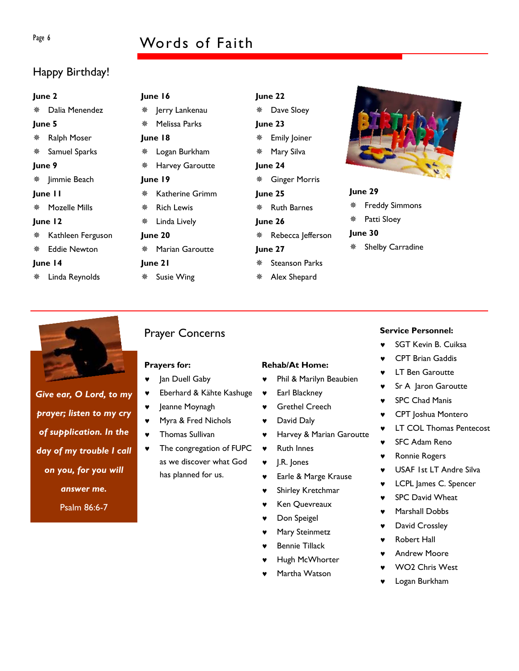# Page 6 Words of Faith

# Happy Birthday!

| June 2   |                     |                      | June 16           |   | June 22               |  |
|----------|---------------------|----------------------|-------------------|---|-----------------------|--|
|          | Dalia Menendez      | ₩                    | Jerry Lankenau    | 楽 | Dave Sloey            |  |
| June 5   |                     | 豢                    | Melissa Parks     |   | June 23               |  |
| 豢        | Ralph Moser         |                      | June 18           | 楽 | Emily Joiner          |  |
|          | Samuel Sparks       | ₩                    | Logan Burkham     |   | Mary Silva            |  |
| June 9   |                     | Harvey Garoutte<br>豢 |                   |   | June 24               |  |
|          | ※ Jimmie Beach      |                      | June 19           | ₩ | <b>Ginger Morris</b>  |  |
| June I I |                     | 豢                    | Katherine Grimm   |   | June 25               |  |
| 榮        | Mozelle Mills       | 楽                    | <b>Rich Lewis</b> | 榮 | <b>Ruth Barnes</b>    |  |
| June 12  |                     | ₩                    | Linda Lively      |   | June 26               |  |
|          | Kathleen Ferguson   |                      | June 20           | 楽 | Rebecca Jefferson     |  |
|          | <b>Eddie Newton</b> | 豢                    | Marian Garoutte   |   | June 27               |  |
| June 14  |                     |                      | June 21           |   | <b>Steanson Parks</b> |  |
| 豢        | Linda Reynolds      | ₩                    | Susie Wing        | ₩ | Alex Shepard          |  |
|          |                     |                      |                   |   |                       |  |



#### **June 29**

- Freddy Simmons
- Patti Sloey

#### **June 30**

Shelby Carradine



*Give ear, O Lord, to my prayer; listen to my cry of supplication. In the day of my trouble I call on you, for you will answer me.*  Psalm 86:6-7

# Prayer Concerns

#### **Prayers for:**

- ♥ Jan Duell Gaby
- ♥ Eberhard & Kähte Kashuge
- ♥ Jeanne Moynagh
- ♥ Myra & Fred Nichols
- ♥ Thomas Sullivan
- ♥ The congregation of FUPC as we discover what God has planned for us.

#### **Rehab/At Home:**

- ♥ Phil & Marilyn Beaubien
- ♥ Earl Blackney
- ♥ Grethel Creech
- ♥ David Daly
- ♥ Harvey & Marian Garoutte
- ♥ Ruth Innes
- ♥ J.R. Jones
- ♥ Earle & Marge Krause
- ♥ Shirley Kretchmar
- ♥ Ken Quevreaux
- Don Speigel
- Mary Steinmetz
- Bennie Tillack
- Hugh McWhorter
- Martha Watson

### **Service Personnel:**

- ♥ SGT Kevin B. Cuiksa
- **CPT Brian Gaddis**
- **LT Ben Garoutte**
- Sr A Jaron Garoutte
- ♥ CPT Joshua Montero
- ♥ LT COL Thomas Pentecost
- ♥ SFC Adam Reno
- **Ronnie Rogers**
- ♥ USAF 1st LT Andre Silva
- LCPL James C. Spencer
- ♥ SPC David Wheat
- Marshall Dobbs
- David Crossley
- Andrew Moore
- WO<sub>2</sub> Chris West
- Logan Burkham

- -
	-
	-
	- **SPC Chad Manis**
	-
	-
	-
	-
	-
	-
	-
	-
	-
	- ♥ Robert Hall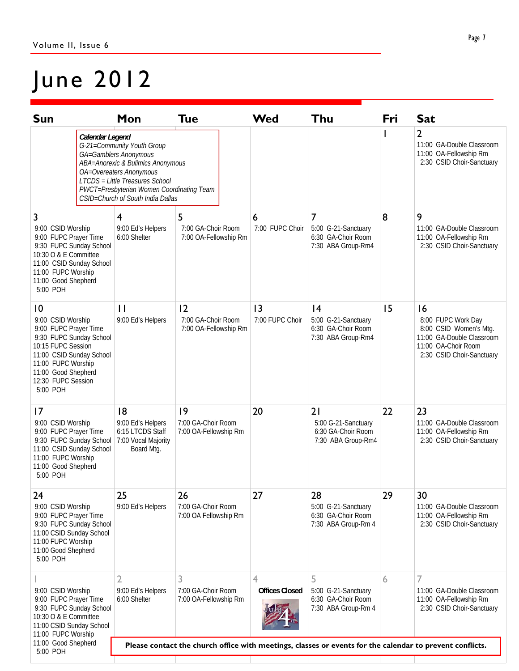# June 2012

| <b>Sun</b>                                                                                                                                                                                                                | Mon                                                                                                                                                                                                                                      | <b>Tue</b>                                        | <b>Wed</b>                 | Thu                                                                    | Fri | <b>Sat</b>                                                                                                                          |
|---------------------------------------------------------------------------------------------------------------------------------------------------------------------------------------------------------------------------|------------------------------------------------------------------------------------------------------------------------------------------------------------------------------------------------------------------------------------------|---------------------------------------------------|----------------------------|------------------------------------------------------------------------|-----|-------------------------------------------------------------------------------------------------------------------------------------|
| Calendar Legend                                                                                                                                                                                                           | G-21=Community Youth Group<br>GA=Gamblers Anonymous<br>ABA=Anorexic & Bulimics Anonymous<br>OA=Overeaters Anonymous<br>LTCDS = Little Treasures School<br>PWCT=Presbyterian Women Coordinating Team<br>CSID=Church of South India Dallas |                                                   |                            |                                                                        |     | $\overline{2}$<br>11:00 GA-Double Classroom<br>11:00 OA-Fellowship Rm<br>2:30 CSID Choir-Sanctuary                                  |
| 3<br>9:00 CSID Worship<br>9:00 FUPC Prayer Time<br>9:30 FUPC Sunday School<br>10:30 O & E Committee<br>11:00 CSID Sunday School<br>11:00 FUPC Worship<br>11:00 Good Shepherd<br>5:00 POH                                  | $\overline{4}$<br>9:00 Ed's Helpers<br>6:00 Shelter                                                                                                                                                                                      | 5<br>7:00 GA-Choir Room<br>7:00 OA-Fellowship Rm  | 6<br>7:00 FUPC Choir       | 7<br>5:00 G-21-Sanctuary<br>6:30 GA-Choir Room<br>7:30 ABA Group-Rm4   | 8   | 9<br>11:00 GA-Double Classroom<br>11:00 OA-Fellowship Rm<br>2:30 CSID Choir-Sanctuary                                               |
| $\overline{10}$<br>9:00 CSID Worship<br>9:00 FUPC Prayer Time<br>9:30 FUPC Sunday School<br>10:15 FUPC Session<br>11:00 CSID Sunday School<br>11:00 FUPC Worship<br>11:00 Good Shepherd<br>12:30 FUPC Session<br>5:00 POH | $\mathbf{1}$<br>9:00 Ed's Helpers                                                                                                                                                                                                        | 12<br>7:00 GA-Choir Room<br>7:00 OA-Fellowship Rm | 3<br>7:00 FUPC Choir       | 4<br>5:00 G-21-Sanctuary<br>6:30 GA-Choir Room<br>7:30 ABA Group-Rm4   | 15  | 16<br>8:00 FUPC Work Day<br>8:00 CSID Women's Mtg.<br>11:00 GA-Double Classroom<br>11:00 OA-Choir Room<br>2:30 CSID Choir-Sanctuary |
| 17<br>9:00 CSID Worship<br>9:00 FUPC Prayer Time<br>9:30 FUPC Sunday School<br>11:00 CSID Sunday School<br>11:00 FUPC Worship<br>11:00 Good Shepherd<br>5:00 POH                                                          | 8<br>9:00 Ed's Helpers<br>6:15 LTCDS Staff<br>7:00 Vocal Majority<br>Board Mtg.                                                                                                                                                          | 9<br>7:00 GA-Choir Room<br>7:00 OA-Fellowship Rm  | 20                         | 21<br>5:00 G-21-Sanctuary<br>6:30 GA-Choir Room<br>7:30 ABA Group-Rm4  | 22  | 23<br>11:00 GA-Double Classroom<br>11:00 OA-Fellowship Rm<br>2:30 CSID Choir-Sanctuary                                              |
| 24<br>9:00 CSID Worship<br>9:00 FUPC Prayer Time<br>9:30 FUPC Sunday School<br>11:00 CSID Sunday School<br>11:00 FUPC Worship<br>11:00 Good Shepherd<br>5:00 POH                                                          | 25<br>9:00 Ed's Helpers                                                                                                                                                                                                                  | 26<br>7:00 GA-Choir Room<br>7:00 OA Fellowship Rm | 27                         | 28<br>5:00 G-21-Sanctuary<br>6:30 GA-Choir Room<br>7:30 ABA Group-Rm 4 | 29  | 30<br>11:00 GA-Double Classroom<br>11:00 OA-Fellowship Rm<br>2:30 CSID Choir-Sanctuary                                              |
| 9:00 CSID Worship<br>9:00 FUPC Prayer Time<br>9:30 FUPC Sunday School<br>10:30 O & E Committee<br>11:00 CSID Sunday School<br>11:00 FUPC Worship                                                                          | 3<br>2<br>7:00 GA-Choir Room<br>9:00 Ed's Helpers<br>6:00 Shelter<br>7:00 OA-Fellowship Rm                                                                                                                                               |                                                   | 4<br><b>Offices Closed</b> | 5<br>5:00 G-21-Sanctuary<br>6:30 GA-Choir Room<br>7:30 ABA Group-Rm 4  | 6   | 7<br>11:00 GA-Double Classroom<br>11:00 OA-Fellowship Rm<br>2:30 CSID Choir-Sanctuary                                               |
| 11:00 Good Shepherd<br>5:00 POH                                                                                                                                                                                           | Please contact the church office with meetings, classes or events for the calendar to prevent conflicts.                                                                                                                                 |                                                   |                            |                                                                        |     |                                                                                                                                     |